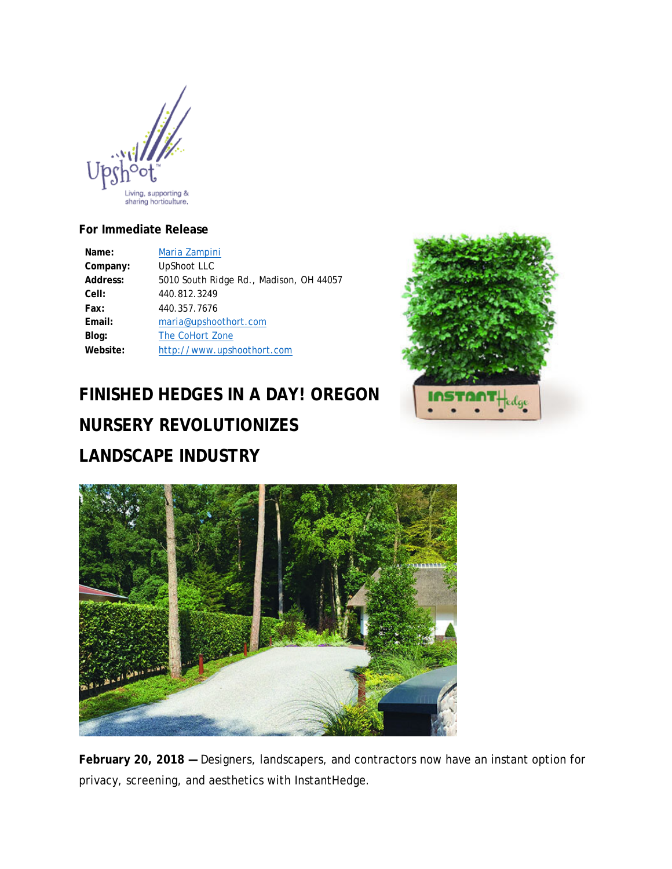

### **For Immediate Release**

| Name:    | Maria Zampini                           |
|----------|-----------------------------------------|
| Company: | <b>UpShoot LLC</b>                      |
| Address: | 5010 South Ridge Rd., Madison, OH 44057 |
| Cell:    | 440.812.3249                            |
| Fax:     | 440.357.7676                            |
| Email:   | maria@upshoothort.com                   |
| Blog:    | The CoHort Zone                         |
| Website: | http://www.upshoothort.com              |

# **FINISHED HEDGES IN A DAY! OREGON NURSERY REVOLUTIONIZES LANDSCAPE INDUSTRY**





**February 20, 2018 —** Designers, landscapers, and contractors now have an instant option for privacy, screening, and aesthetics with InstantHedge.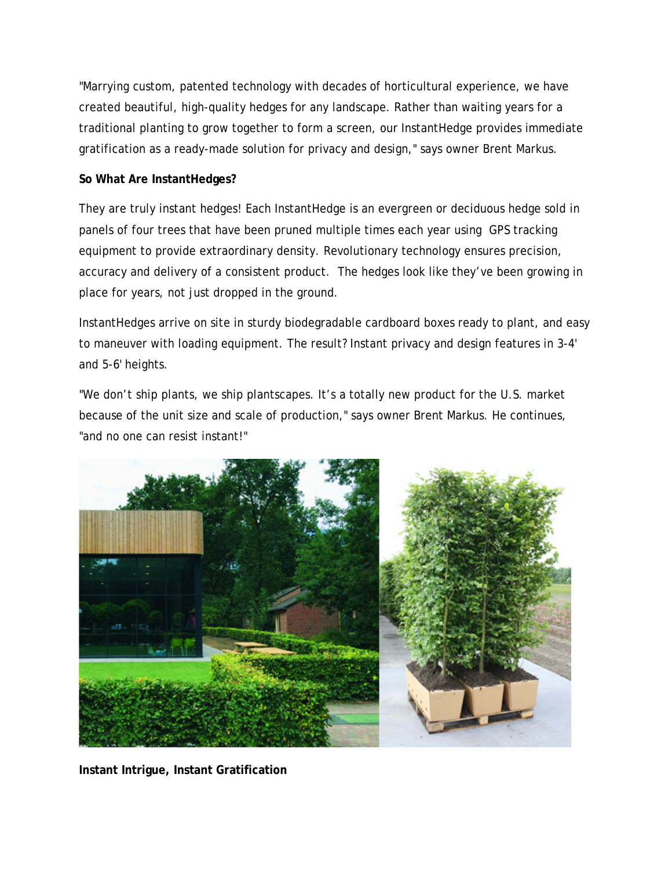"Marrying custom, patented technology with decades of horticultural experience, we have created beautiful, high-quality hedges for any landscape. Rather than waiting years for a traditional planting to grow together to form a screen, our InstantHedge provides immediate gratification as a ready-made solution for privacy and design," says owner Brent Markus.

## **So What Are InstantHedges?**

They are truly instant hedges! Each InstantHedge is an evergreen or deciduous hedge sold in panels of four trees that have been pruned multiple times each year using GPS tracking equipment to provide extraordinary density. Revolutionary technology ensures precision, accuracy and delivery of a consistent product. The hedges look like they've been growing in place for years, not just dropped in the ground.

InstantHedges arrive on site in sturdy biodegradable cardboard boxes ready to plant, and easy to maneuver with loading equipment. The result? Instant privacy and design features in 3-4' and 5-6' heights.

"We don't ship plants, we ship plantscapes. It's a totally new product for the U.S. market because of the unit size and scale of production," says owner Brent Markus. He continues, "and no one can resist instant!"



**Instant Intrigue, Instant Gratification**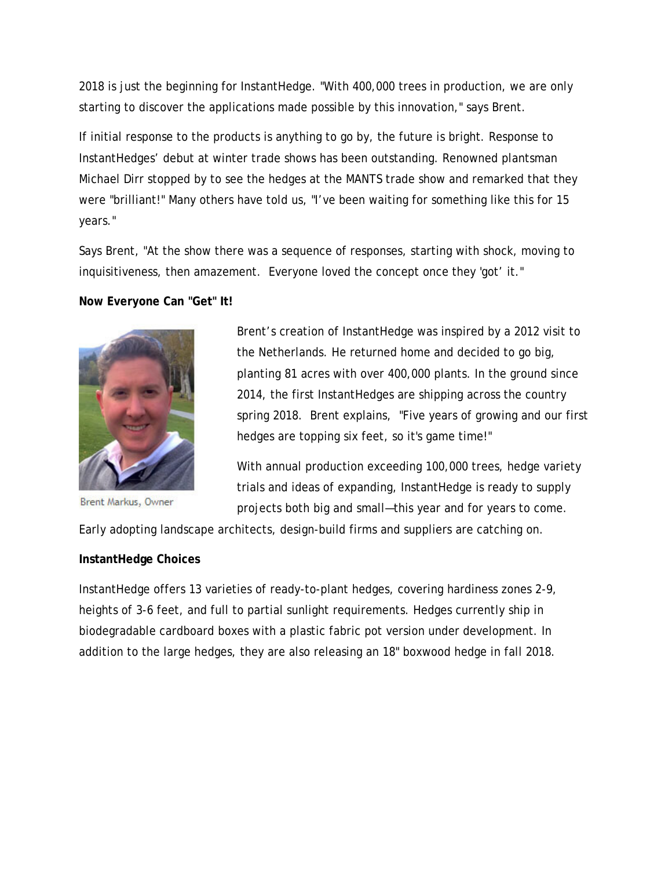2018 is just the beginning for InstantHedge. "With 400,000 trees in production, we are only starting to discover the applications made possible by this innovation," says Brent.

If initial response to the products is anything to go by, the future is bright. Response to InstantHedges' debut at winter trade shows has been outstanding. Renowned plantsman Michael Dirr stopped by to see the hedges at the MANTS trade show and remarked that they were "brilliant!" Many others have told us, "I've been waiting for something like this for 15 years."

Says Brent, "At the show there was a sequence of responses, starting with shock, moving to inquisitiveness, then amazement. Everyone loved the concept once they 'got' it."

**Now Everyone Can "Get" It!**



Brent Markus, Owner

Brent's creation of InstantHedge was inspired by a 2012 visit to the Netherlands. He returned home and decided to go big, planting 81 acres with over 400,000 plants. In the ground since 2014, the first InstantHedges are shipping across the country spring 2018. Brent explains, "Five years of growing and our first hedges are topping six feet, so it's game time!"

With annual production exceeding 100,000 trees, hedge variety trials and ideas of expanding, InstantHedge is ready to supply projects both big and small—this year and for years to come.

Early adopting landscape architects, design-build firms and suppliers are catching on.

#### **InstantHedge Choices**

InstantHedge offers 13 varieties of ready-to-plant hedges, covering hardiness zones 2-9, heights of 3-6 feet, and full to partial sunlight requirements. Hedges currently ship in biodegradable cardboard boxes with a plastic fabric pot version under development. In addition to the large hedges, they are also releasing an 18" boxwood hedge in fall 2018.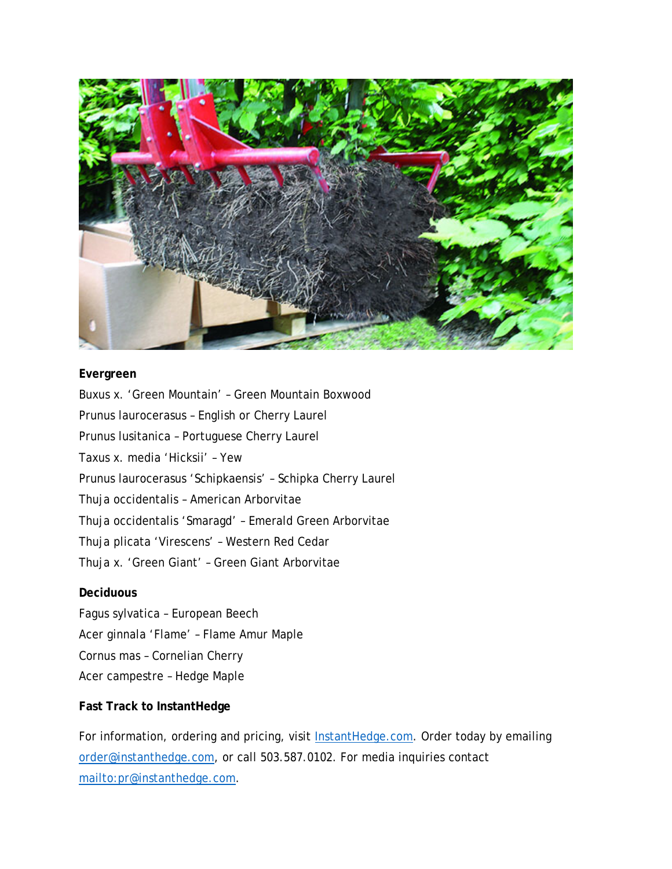

## **Evergreen**

Buxus x. 'Green Mountain' – Green Mountain Boxwood Prunus laurocerasus – English or Cherry Laurel Prunus lusitanica – Portuguese Cherry Laurel Taxus x. media 'Hicksii' – Yew Prunus laurocerasus 'Schipkaensis' – Schipka Cherry Laurel Thuja occidentalis – American Arborvitae Thuja occidentalis 'Smaragd' – Emerald Green Arborvitae Thuja plicata 'Virescens' – Western Red Cedar Thuja x. 'Green Giant' – Green Giant Arborvitae

#### **Deciduous**

Fagus sylvatica – European Beech Acer ginnala 'Flame' – Flame Amur Maple Cornus mas – Cornelian Cherry Acer campestre – Hedge Maple

### **Fast Track to InstantHedge**

For information, ordering and pricing, visit **InstantHedge.com.** Order today by emailing [order@instanthedge.com,](mailto:order@instanthedge.com) or call 503.587.0102. For media inquiries contact [mailto:pr@instanthedge.com.](mailto:pr@instanthedge.com)